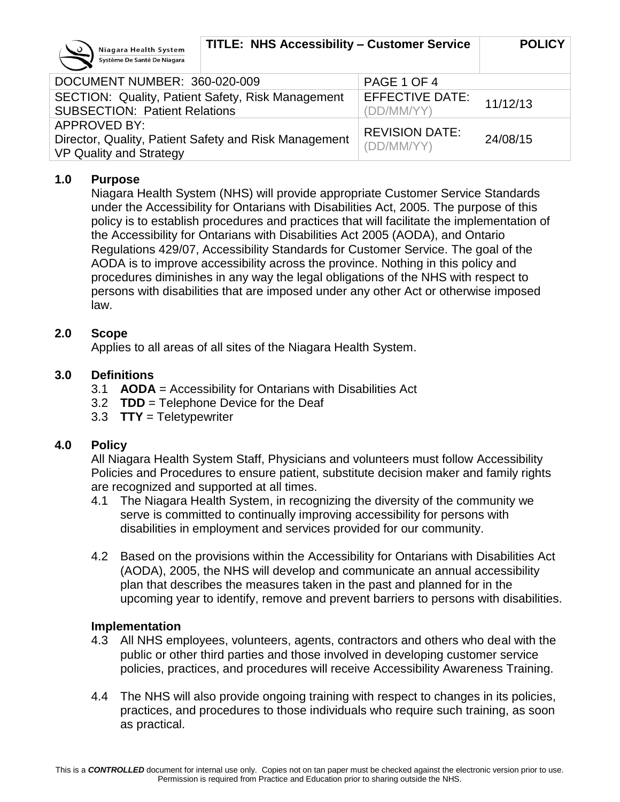

| Systems De Sainte De Magana                                                                      |                                     |          |
|--------------------------------------------------------------------------------------------------|-------------------------------------|----------|
| DOCUMENT NUMBER: 360-020-009                                                                     | PAGE 1 OF 4                         |          |
| SECTION: Quality, Patient Safety, Risk Management<br><b>SUBSECTION: Patient Relations</b>        | EFFECTIVE DATE:<br>(DD/MM/YY)       | 11/12/13 |
| APPROVED BY:<br>Director, Quality, Patient Safety and Risk Management<br>VP Quality and Strategy | <b>REVISION DATE:</b><br>(DD/MM/YY) | 24/08/15 |

### **1.0 Purpose**

Niagara Health System (NHS) will provide appropriate Customer Service Standards under the Accessibility for Ontarians with Disabilities Act, 2005. The purpose of this policy is to establish procedures and practices that will facilitate the implementation of the Accessibility for Ontarians with Disabilities Act 2005 (AODA), and Ontario Regulations 429/07, Accessibility Standards for Customer Service. The goal of the AODA is to improve accessibility across the province. Nothing in this policy and procedures diminishes in any way the legal obligations of the NHS with respect to persons with disabilities that are imposed under any other Act or otherwise imposed law.

### **2.0 Scope**

Applies to all areas of all sites of the Niagara Health System.

### **3.0 Definitions**

- 3.1 **AODA** = Accessibility for Ontarians with Disabilities Act
- 3.2 **TDD** = Telephone Device for the Deaf
- 3.3 **TTY** = Teletypewriter

### **4.0 Policy**

All Niagara Health System Staff, Physicians and volunteers must follow Accessibility Policies and Procedures to ensure patient, substitute decision maker and family rights are recognized and supported at all times.

- 4.1 The Niagara Health System, in recognizing the diversity of the community we serve is committed to continually improving accessibility for persons with disabilities in employment and services provided for our community.
- 4.2 Based on the provisions within the Accessibility for Ontarians with Disabilities Act (AODA), 2005, the NHS will develop and communicate an annual accessibility plan that describes the measures taken in the past and planned for in the upcoming year to identify, remove and prevent barriers to persons with disabilities.

### **Implementation**

- 4.3 All NHS employees, volunteers, agents, contractors and others who deal with the public or other third parties and those involved in developing customer service policies, practices, and procedures will receive Accessibility Awareness Training.
- 4.4 The NHS will also provide ongoing training with respect to changes in its policies, practices, and procedures to those individuals who require such training, as soon as practical.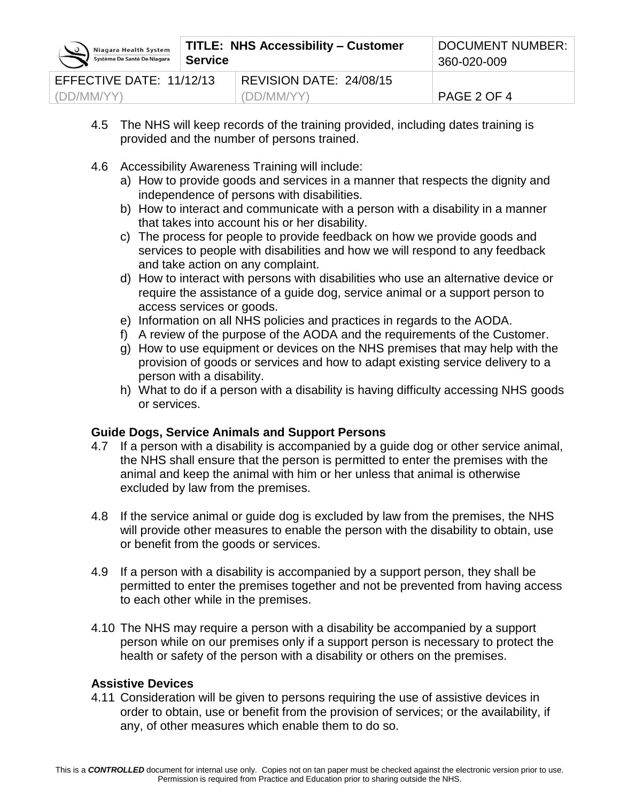| Niagara Health System<br>Système De Santé De Niagara | TITLE: NHS Accessibility – Customer<br><b>Service</b> |                         | DOCUMENT NUMBER:<br>360-020-009 |
|------------------------------------------------------|-------------------------------------------------------|-------------------------|---------------------------------|
| EFFECTIVE DATE: 11/12/13                             |                                                       | REVISION DATE: 24/08/15 |                                 |
| (DD/MM/YY)                                           |                                                       | (DD/MM/YY)              | PAGE 2 OF 4                     |

- 4.5 The NHS will keep records of the training provided, including dates training is provided and the number of persons trained.
- 4.6 Accessibility Awareness Training will include:
	- a) How to provide goods and services in a manner that respects the dignity and independence of persons with disabilities.
	- b) How to interact and communicate with a person with a disability in a manner that takes into account his or her disability.
	- c) The process for people to provide feedback on how we provide goods and services to people with disabilities and how we will respond to any feedback and take action on any complaint.
	- d) How to interact with persons with disabilities who use an alternative device or require the assistance of a guide dog, service animal or a support person to access services or goods.
	- e) Information on all NHS policies and practices in regards to the AODA.
	- f) A review of the purpose of the AODA and the requirements of the Customer.
	- g) How to use equipment or devices on the NHS premises that may help with the provision of goods or services and how to adapt existing service delivery to a person with a disability.
	- h) What to do if a person with a disability is having difficulty accessing NHS goods or services.

## **Guide Dogs, Service Animals and Support Persons**

- 4.7 If a person with a disability is accompanied by a guide dog or other service animal, the NHS shall ensure that the person is permitted to enter the premises with the animal and keep the animal with him or her unless that animal is otherwise excluded by law from the premises.
- 4.8 If the service animal or guide dog is excluded by law from the premises, the NHS will provide other measures to enable the person with the disability to obtain, use or benefit from the goods or services.
- 4.9 If a person with a disability is accompanied by a support person, they shall be permitted to enter the premises together and not be prevented from having access to each other while in the premises.
- 4.10 The NHS may require a person with a disability be accompanied by a support person while on our premises only if a support person is necessary to protect the health or safety of the person with a disability or others on the premises.

### **Assistive Devices**

4.11 Consideration will be given to persons requiring the use of assistive devices in order to obtain, use or benefit from the provision of services; or the availability, if any, of other measures which enable them to do so.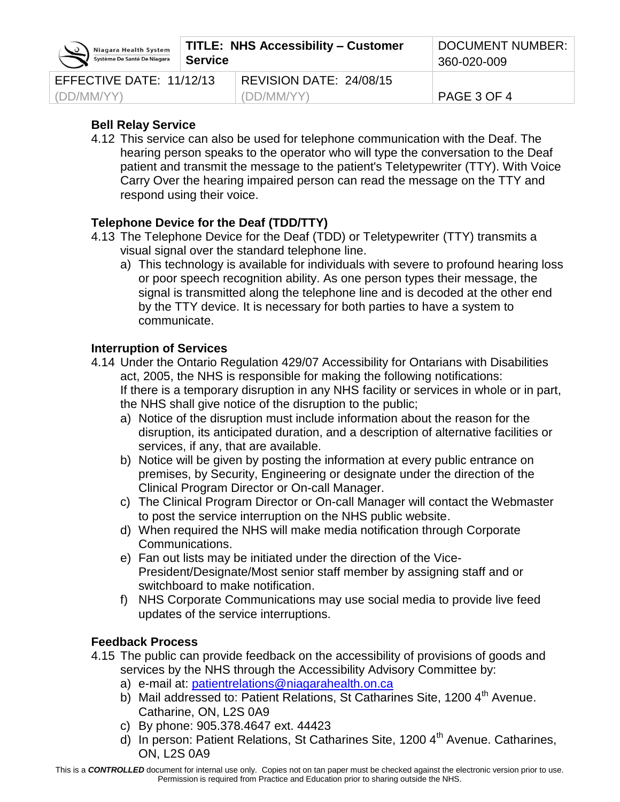| Niagara Health System<br>Système De Santé De Niagara | <b>TITLE: NHS Accessibility - Customer</b><br><b>Service</b> |                         | <b>DOCUMENT NUMBER:</b><br>360-020-009 |
|------------------------------------------------------|--------------------------------------------------------------|-------------------------|----------------------------------------|
| EFFECTIVE DATE: 11/12/13                             |                                                              | REVISION DATE: 24/08/15 |                                        |
| (DD/MM/YY)                                           |                                                              | (DD/MM/YY)              | PAGE 3 OF 4                            |

## **Bell Relay Service**

4.12 This service can also be used for telephone communication with the Deaf. The hearing person speaks to the operator who will type the conversation to the Deaf patient and transmit the message to the patient's Teletypewriter (TTY). With Voice Carry Over the hearing impaired person can read the message on the TTY and respond using their voice.

# **Telephone Device for the Deaf (TDD/TTY)**

- 4.13 The Telephone Device for the Deaf (TDD) or Teletypewriter (TTY) transmits a visual signal over the standard telephone line.
	- a) This technology is available for individuals with severe to profound hearing loss or poor speech recognition ability. As one person types their message, the signal is transmitted along the telephone line and is decoded at the other end by the TTY device. It is necessary for both parties to have a system to communicate.

# **Interruption of Services**

- 4.14 Under the Ontario Regulation 429/07 Accessibility for Ontarians with Disabilities act, 2005, the NHS is responsible for making the following notifications: If there is a temporary disruption in any NHS facility or services in whole or in part, the NHS shall give notice of the disruption to the public;
	- a) Notice of the disruption must include information about the reason for the disruption, its anticipated duration, and a description of alternative facilities or services, if any, that are available.
	- b) Notice will be given by posting the information at every public entrance on premises, by Security, Engineering or designate under the direction of the Clinical Program Director or On-call Manager.
	- c) The Clinical Program Director or On-call Manager will contact the Webmaster to post the service interruption on the NHS public website.
	- d) When required the NHS will make media notification through Corporate Communications.
	- e) Fan out lists may be initiated under the direction of the Vice-President/Designate/Most senior staff member by assigning staff and or switchboard to make notification.
	- f) NHS Corporate Communications may use social media to provide live feed updates of the service interruptions.

# **Feedback Process**

- 4.15 The public can provide feedback on the accessibility of provisions of goods and services by the NHS through the Accessibility Advisory Committee by:
	- a) e-mail at: [patientrelations@niagarahealth.on.ca](mailto:patientrelations@niagarahealth.on.ca)
	- b) Mail addressed to: Patient Relations, St Catharines Site, 1200 4<sup>th</sup> Avenue. Catharine, ON, L2S 0A9
	- c) By phone: 905.378.4647 ext. 44423
	- d) In person: Patient Relations, St Catharines Site, 1200 4<sup>th</sup> Avenue. Catharines. ON, L2S 0A9